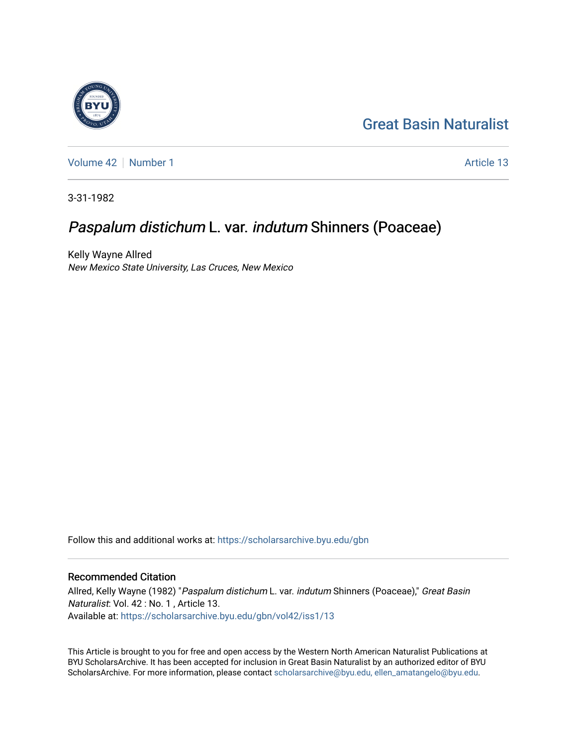# [Great Basin Naturalist](https://scholarsarchive.byu.edu/gbn)

[Volume 42](https://scholarsarchive.byu.edu/gbn/vol42) [Number 1](https://scholarsarchive.byu.edu/gbn/vol42/iss1) Article 13

3-31-1982

## Paspalum distichum L. var. indutum Shinners (Poaceae)

Kelly Wayne Allred New Mexico State University, Las Cruces, New Mexico

Follow this and additional works at: [https://scholarsarchive.byu.edu/gbn](https://scholarsarchive.byu.edu/gbn?utm_source=scholarsarchive.byu.edu%2Fgbn%2Fvol42%2Fiss1%2F13&utm_medium=PDF&utm_campaign=PDFCoverPages) 

### Recommended Citation

Allred, Kelly Wayne (1982) "Paspalum distichum L. var. indutum Shinners (Poaceae)," Great Basin Naturalist: Vol. 42 : No. 1 , Article 13. Available at: [https://scholarsarchive.byu.edu/gbn/vol42/iss1/13](https://scholarsarchive.byu.edu/gbn/vol42/iss1/13?utm_source=scholarsarchive.byu.edu%2Fgbn%2Fvol42%2Fiss1%2F13&utm_medium=PDF&utm_campaign=PDFCoverPages) 

This Article is brought to you for free and open access by the Western North American Naturalist Publications at BYU ScholarsArchive. It has been accepted for inclusion in Great Basin Naturalist by an authorized editor of BYU ScholarsArchive. For more information, please contact [scholarsarchive@byu.edu, ellen\\_amatangelo@byu.edu.](mailto:scholarsarchive@byu.edu,%20ellen_amatangelo@byu.edu)

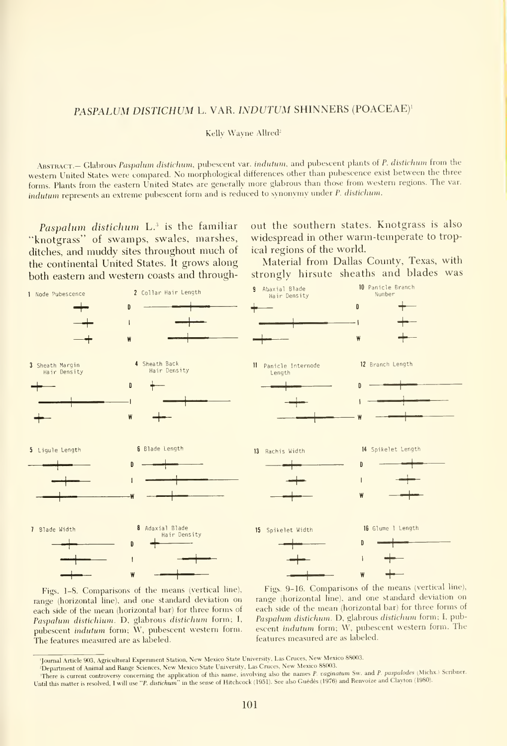### PASPALUM DISTICHUM L. VAR. INDUTUM SHINNERS (POACEAE)'

Kelly Wayne Allred<sup>2</sup>

ABSTRACT.- Glabrous Paspalum distichum, pubescent var. indutum, and pubescent plants of P. distichum from the western United States were compared. No morphological differences other than pubescence exist between the three forms. Plants from the eastern United States are generally more glabrous than those from western regions. The var. indutum represents an extreme pubescent form and is reduced to synonymy under P. distichum.

Paspalum distichum L.<sup>3</sup> is the familiar "knotgrass" of swamps, swales, marshes, ditches, and muddy sites throughout much of the continental United States. It grows along both eastern and western coasts and throughout the southern states. Knotgrass is also widespread in other warm-temperate to tropical regions of the world.

Material from Dallas County, Texas, with strongly hirsute sheaths and blades was



Figs. 1-8. Comparisons of the means (vertical line), range (horizontal line), and one standard deviation on each side of the mean (horizontal bar) for three forms of Paspalwn distichium. D, glabrous distichum form; I, pubescent indutum form; W, pubescent western form. The features measured are as labeled.

Figs. 9-16. Comparisons of the means (vertical line), range (horizontal line), and one standard deviation on each side of the mean (horizontal bar) for three forms of Paspalum distichum. D, glabrous distichum form; I, pubescent indutum form; W, pubescent western form. The features measured are as labeled.

<sup>&#</sup>x27;Journal Article 90.3, Agricultural Experiment Station. New Mexico State University, Las Cruces, New Mexico 88003.

<sup>&</sup>lt;sup>2</sup>Department of Animal and Range Sciences, New Mexico State University, Las Cruces, New Mexico 88003. There is current controversy concerning the application of this name, involving also the names P. vaginatum Sw. and P. paspalodes (Michx.) Scribner. Until this matter is resolved, I will use "P. distichum" in the sense of Hitchcock (1951). See also Guédès (1976) and Renvoize and Clayton (1980).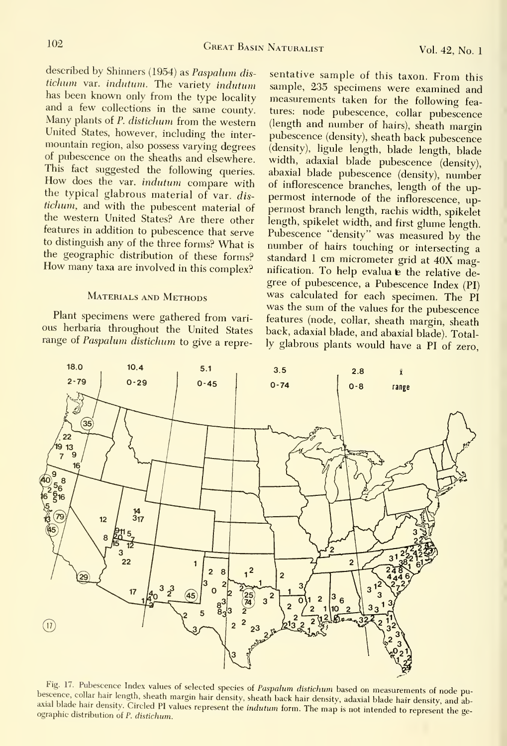described by Shinners (1954) as Paspalum dis tichum var. indutum. The variety indutum has been known only from the type locality and <sup>a</sup> few collections in the same county. Many plants of P. distichum from the western United States, however, including the inter mountain region, also possess varying degrees of pubescence on the sheaths and elsewhere. This fact suggested the following queries. How does the var. indutum compare with the typical glabrous material of var. dis tichum, and with the pubescent material of the western United States? Are there other to distinguish any of the three forms? What is the geographic distribution of these forms? How many taxa are involved in this complex?

#### MATERIALS AND METHODS

Plant specimens were gathered from vari ous herbaria throughout the United States range of Paspalum distichum to give <sup>a</sup> repre-

features in addition to pubescence that serve Pubescence "density" was measured by the sentative sample of this taxon. From this sample, 235 specimens were examined and measurements taken for the following features: node pubescence, collar pubescence (length and number of hairs), sheath margin pubescence (density), sheath back pubescence (density), ligule length, blade length, blade width, adaxial blade pubescence (density), abaxial blade pubescence (density), number of inflorescence branches, length of the up permost internode of the inflorescence, up permost branch length, rachis width, spikelet length, spikelet width, and first glume length. number of hairs touching or intersecting a standard <sup>1</sup> cm micrometer grid at 40X magnification. To help evaluate the relative degree of pubescence, <sup>a</sup> Pubescence Index (PI) was calculated for each specimen. The PI was the sum of the values for the pubescence features (node, collar, sheath margin, sheath back, adaxial blade, and abaxial blade). Totally glabrous plants would have <sup>a</sup> PI of zero.



Fig. 17. Pubescence Index values of selected species of Paspalum distichum based on measurements of node pubescence, collar hair length, sheath margin hair density, sheath back hair density, adaxial blade hair density, and bescence, conar hair length, sheath margin hair density, sheath back hair density, adaxial blade hair density, and ab-<br>axial blade hair density. Circled PI values represent the i*ndutum* form. The map is not intended to re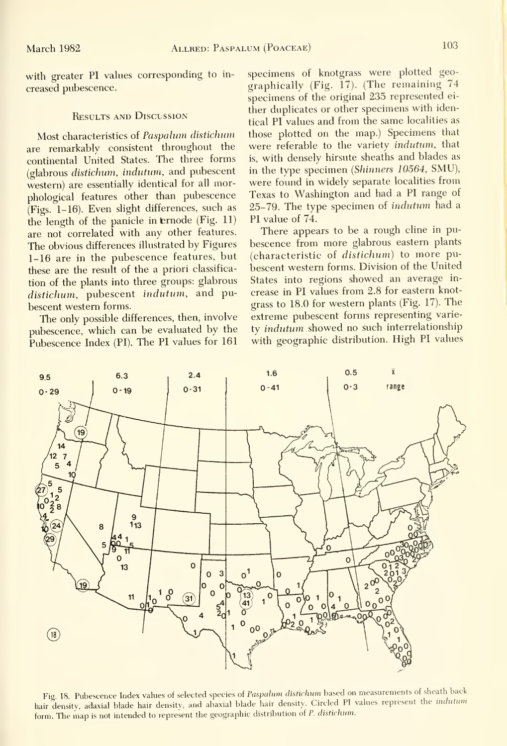with greater PI values corresponding to increased pubescence.

#### **RESULTS AND DISCUSSION**

Most characteristics of Paspalum distichum are remarkably consistent throughout the continental United States. The three forms (glabrous distichum, indittum, and pubescent western) are essentially identical for all morphological features other than pubescence (Figs. 1-16). Even slight differences, such as the length of the panicle in ternode (Fig. 11) are not correlated with any other features. The obvious differences illustrated by Figures 1-16 are in the pubescence features, but these are the result of the a priori classifica tion of the plants into three groups: glabrous distichum, pubescent indutum, and pubescent western forms.

The only possible differences, then, involve pubescence, which can be evaluated by the Pubescence Index (PI). The PI values for 161

specimens of knotgrass were plotted geo graphically (Fig. 17). (The remaining 74 specimens of the original 235 represented ei ther duplicates or other specimens with identical PI values and from the same localities as those plotted on the map.) Specimens that were referable to the variety indutum, that is, with densely hirsute sheaths and blades as in the type specimen (Shinners 10564, SMU), were found in widely separate localities from Texas to Washington and had a PI range of 25-79. The type specimen of indutum had <sup>a</sup> PI value of 74.

There appears to be a rough cline in pubescence from more glabrous eastern plants (characteristic of distichum) to more pubescent western forms. Division of the United States into regions showed an average in crease in PI values from 2.8 for eastern knotgrass to 18.0 for western plants (Fig. 17). The extreme pubescent forms representing variety indutum showed no such interrelationship with geographic distribution. High PI values



Fig. 18. Pubescence Index values of selected species of Paspalum distichum based on measurements of sheath back hair density, adaxial blade hair density, and abaxial blade hair density. Circled PI values represent the indutum form. The map is not intended to represent the geographic distribution of P. distichum.